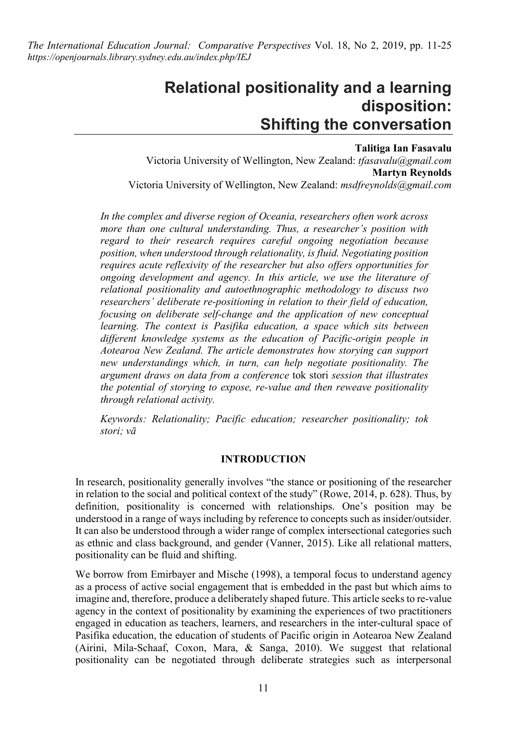*The International Education Journal: Comparative Perspectives* Vol. 18, No 2, 2019, pp. 11-25 *https://openjournals.library.sydney.edu.au/index.php/IEJ*

# **Relational positionality and a learning disposition: Shifting the conversation**

**Talitiga Ian Fasavalu** Victoria University of Wellington, New Zealand: *tfasavalu@gmail.com* **Martyn Reynolds** Victoria University of Wellington, New Zealand: *msdfreynolds@gmail.com*

*In the complex and diverse region of Oceania, researchers often work across more than one cultural understanding. Thus, a researcher's position with regard to their research requires careful ongoing negotiation because position, when understood through relationality, is fluid. Negotiating position requires acute reflexivity of the researcher but also offers opportunities for ongoing development and agency. In this article, we use the literature of relational positionality and autoethnographic methodology to discuss two researchers' deliberate re-positioning in relation to their field of education, focusing on deliberate self-change and the application of new conceptual learning. The context is Pasifika education, a space which sits between different knowledge systems as the education of Pacific-origin people in Aotearoa New Zealand. The article demonstrates how storying can support new understandings which, in turn, can help negotiate positionality. The argument draws on data from a conference* tok stori *session that illustrates the potential of storying to expose, re-value and then reweave positionality through relational activity.*

*Keywords: Relationality; Pacific education; researcher positionality; tok stori; vā*

#### **INTRODUCTION**

In research, positionality generally involves "the stance or positioning of the researcher in relation to the social and political context of the study" (Rowe, 2014, p. 628). Thus, by definition, positionality is concerned with relationships. One's position may be understood in a range of ways including by reference to concepts such as insider/outsider. It can also be understood through a wider range of complex intersectional categories such as ethnic and class background, and gender (Vanner, 2015). Like all relational matters, positionality can be fluid and shifting.

We borrow from Emirbayer and Mische (1998), a temporal focus to understand agency as a process of active social engagement that is embedded in the past but which aims to imagine and, therefore, produce a deliberately shaped future. This article seeks to re-value agency in the context of positionality by examining the experiences of two practitioners engaged in education as teachers, learners, and researchers in the inter-cultural space of Pasifika education, the education of students of Pacific origin in Aotearoa New Zealand (Airini, Mila-Schaaf, Coxon, Mara, & Sanga, 2010). We suggest that relational positionality can be negotiated through deliberate strategies such as interpersonal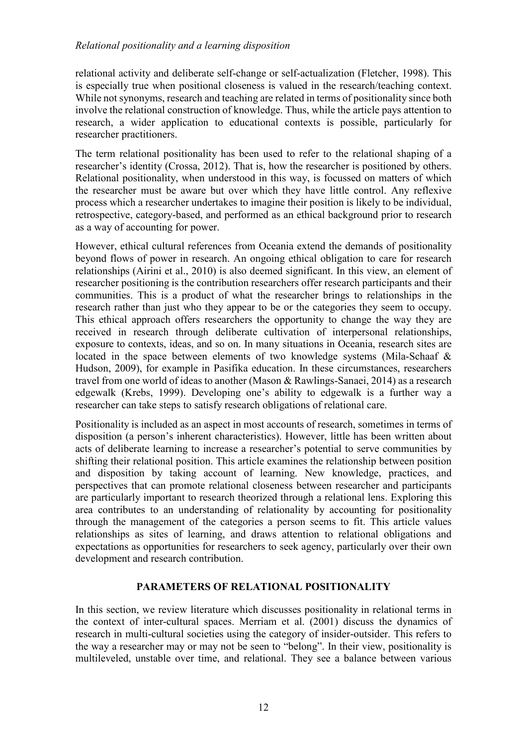relational activity and deliberate self-change or self-actualization (Fletcher, 1998). This is especially true when positional closeness is valued in the research/teaching context. While not synonyms, research and teaching are related in terms of positionality since both involve the relational construction of knowledge. Thus, while the article pays attention to research, a wider application to educational contexts is possible, particularly for researcher practitioners.

The term relational positionality has been used to refer to the relational shaping of a researcher's identity (Crossa, 2012). That is, how the researcher is positioned by others. Relational positionality, when understood in this way, is focussed on matters of which the researcher must be aware but over which they have little control. Any reflexive process which a researcher undertakes to imagine their position is likely to be individual, retrospective, category-based, and performed as an ethical background prior to research as a way of accounting for power.

However, ethical cultural references from Oceania extend the demands of positionality beyond flows of power in research. An ongoing ethical obligation to care for research relationships (Airini et al., 2010) is also deemed significant. In this view, an element of researcher positioning is the contribution researchers offer research participants and their communities. This is a product of what the researcher brings to relationships in the research rather than just who they appear to be or the categories they seem to occupy. This ethical approach offers researchers the opportunity to change the way they are received in research through deliberate cultivation of interpersonal relationships, exposure to contexts, ideas, and so on. In many situations in Oceania, research sites are located in the space between elements of two knowledge systems (Mila-Schaaf & Hudson, 2009), for example in Pasifika education. In these circumstances, researchers travel from one world of ideas to another (Mason & Rawlings-Sanaei, 2014) as a research edgewalk (Krebs, 1999). Developing one's ability to edgewalk is a further way a researcher can take steps to satisfy research obligations of relational care.

Positionality is included as an aspect in most accounts of research, sometimes in terms of disposition (a person's inherent characteristics). However, little has been written about acts of deliberate learning to increase a researcher's potential to serve communities by shifting their relational position. This article examines the relationship between position and disposition by taking account of learning. New knowledge, practices, and perspectives that can promote relational closeness between researcher and participants are particularly important to research theorized through a relational lens. Exploring this area contributes to an understanding of relationality by accounting for positionality through the management of the categories a person seems to fit. This article values relationships as sites of learning, and draws attention to relational obligations and expectations as opportunities for researchers to seek agency, particularly over their own development and research contribution.

#### **PARAMETERS OF RELATIONAL POSITIONALITY**

In this section, we review literature which discusses positionality in relational terms in the context of inter-cultural spaces. Merriam et al. (2001) discuss the dynamics of research in multi-cultural societies using the category of insider-outsider. This refers to the way a researcher may or may not be seen to "belong". In their view, positionality is multileveled, unstable over time, and relational. They see a balance between various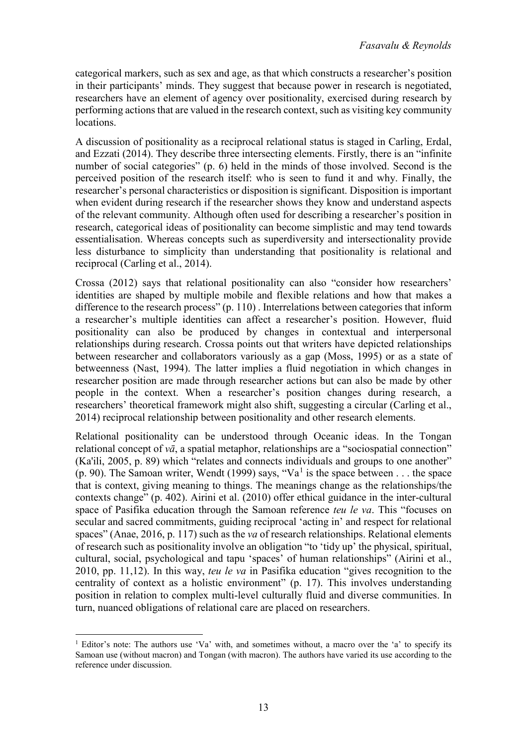categorical markers, such as sex and age, as that which constructs a researcher's position in their participants' minds. They suggest that because power in research is negotiated, researchers have an element of agency over positionality, exercised during research by performing actions that are valued in the research context, such as visiting key community locations.

A discussion of positionality as a reciprocal relational status is staged in Carling, Erdal, and Ezzati (2014). They describe three intersecting elements. Firstly, there is an "infinite number of social categories" (p. 6) held in the minds of those involved. Second is the perceived position of the research itself: who is seen to fund it and why. Finally, the researcher's personal characteristics or disposition is significant. Disposition is important when evident during research if the researcher shows they know and understand aspects of the relevant community. Although often used for describing a researcher's position in research, categorical ideas of positionality can become simplistic and may tend towards essentialisation. Whereas concepts such as superdiversity and intersectionality provide less disturbance to simplicity than understanding that positionality is relational and reciprocal (Carling et al., 2014).

Crossa (2012) says that relational positionality can also "consider how researchers' identities are shaped by multiple mobile and flexible relations and how that makes a difference to the research process" (p. 110) . Interrelations between categories that inform a researcher's multiple identities can affect a researcher's position. However, fluid positionality can also be produced by changes in contextual and interpersonal relationships during research. Crossa points out that writers have depicted relationships between researcher and collaborators variously as a gap (Moss, 1995) or as a state of betweenness (Nast, 1994). The latter implies a fluid negotiation in which changes in researcher position are made through researcher actions but can also be made by other people in the context. When a researcher's position changes during research, a researchers' theoretical framework might also shift, suggesting a circular (Carling et al., 2014) reciprocal relationship between positionality and other research elements.

Relational positionality can be understood through Oceanic ideas. In the Tongan relational concept of *vā*, a spatial metaphor, relationships are a "sociospatial connection" (Ka'ili, 2005, p. 89) which "relates and connects individuals and groups to one another" (p. 90). The Samoan writer, Wendt ([1](#page-2-0)999) says, "Va<sup>1</sup> is the space between . . . the space that is context, giving meaning to things. The meanings change as the relationships/the contexts change" (p. 402). Airini et al. (2010) offer ethical guidance in the inter-cultural space of Pasifika education through the Samoan reference *teu le va*. This "focuses on secular and sacred commitments, guiding reciprocal 'acting in' and respect for relational spaces" (Anae, 2016, p. 117) such as the *va* of research relationships. Relational elements of research such as positionality involve an obligation "to 'tidy up' the physical, spiritual, cultural, social, psychological and tapu 'spaces' of human relationships" (Airini et al., 2010, pp. 11,12). In this way, *teu le va* in Pasifika education "gives recognition to the centrality of context as a holistic environment" (p. 17). This involves understanding position in relation to complex multi-level culturally fluid and diverse communities. In turn, nuanced obligations of relational care are placed on researchers.

<span id="page-2-0"></span><sup>&</sup>lt;sup>1</sup> Editor's note: The authors use 'Va' with, and sometimes without, a macro over the 'a' to specify its Samoan use (without macron) and Tongan (with macron). The authors have varied its use according to the reference under discussion.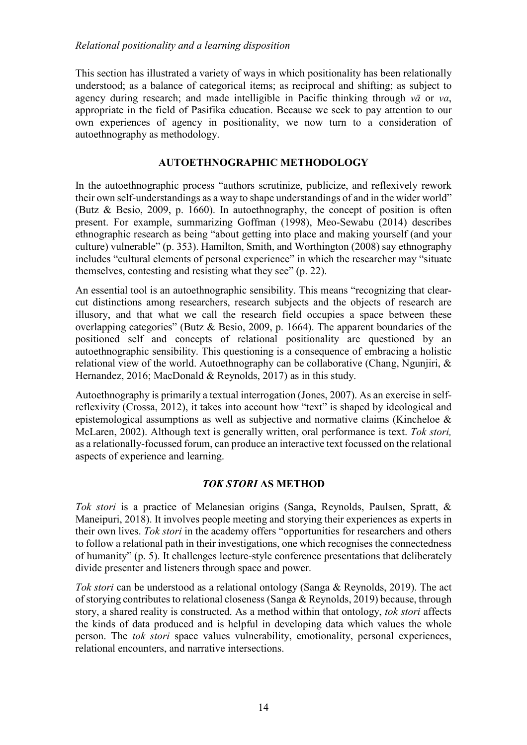This section has illustrated a variety of ways in which positionality has been relationally understood; as a balance of categorical items; as reciprocal and shifting; as subject to agency during research; and made intelligible in Pacific thinking through *vā* or *va*, appropriate in the field of Pasifika education. Because we seek to pay attention to our own experiences of agency in positionality, we now turn to a consideration of autoethnography as methodology.

## **AUTOETHNOGRAPHIC METHODOLOGY**

In the autoethnographic process "authors scrutinize, publicize, and reflexively rework their own self-understandings as a way to shape understandings of and in the wider world" (Butz & Besio, 2009, p. 1660). In autoethnography, the concept of position is often present. For example, summarizing Goffman (1998), Meo-Sewabu (2014) describes ethnographic research as being "about getting into place and making yourself (and your culture) vulnerable" (p. 353). Hamilton, Smith, and Worthington (2008) say ethnography includes "cultural elements of personal experience" in which the researcher may "situate themselves, contesting and resisting what they see" (p. 22).

An essential tool is an autoethnographic sensibility. This means "recognizing that clearcut distinctions among researchers, research subjects and the objects of research are illusory, and that what we call the research field occupies a space between these overlapping categories" (Butz & Besio, 2009, p. 1664). The apparent boundaries of the positioned self and concepts of relational positionality are questioned by an autoethnographic sensibility. This questioning is a consequence of embracing a holistic relational view of the world. Autoethnography can be collaborative (Chang, Ngunjiri, & Hernandez, 2016; MacDonald & Reynolds, 2017) as in this study.

Autoethnography is primarily a textual interrogation (Jones, 2007). As an exercise in selfreflexivity (Crossa, 2012), it takes into account how "text" is shaped by ideological and epistemological assumptions as well as subjective and normative claims (Kincheloe & McLaren, 2002). Although text is generally written, oral performance is text. *Tok stori,* as a relationally-focussed forum, can produce an interactive text focussed on the relational aspects of experience and learning.

# *TOK STORI* **AS METHOD**

*Tok stori* is a practice of Melanesian origins (Sanga, Reynolds, Paulsen, Spratt, & Maneipuri, 2018). It involves people meeting and storying their experiences as experts in their own lives. *Tok stori* in the academy offers "opportunities for researchers and others to follow a relational path in their investigations, one which recognises the connectedness of humanity" (p. 5). It challenges lecture-style conference presentations that deliberately divide presenter and listeners through space and power.

*Tok stori* can be understood as a relational ontology (Sanga & Reynolds, 2019). The act of storying contributes to relational closeness (Sanga & Reynolds, 2019) because, through story, a shared reality is constructed. As a method within that ontology, *tok stori* affects the kinds of data produced and is helpful in developing data which values the whole person. The *tok stori* space values vulnerability, emotionality, personal experiences, relational encounters, and narrative intersections.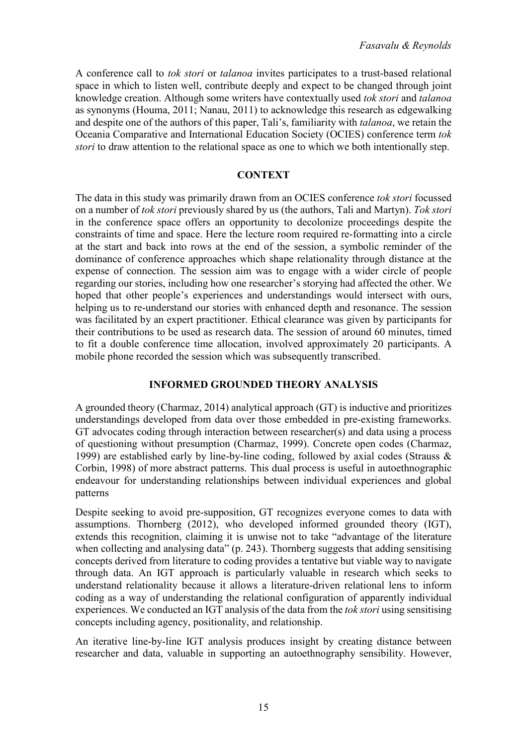A conference call to *tok stori* or *talanoa* invites participates to a trust-based relational space in which to listen well, contribute deeply and expect to be changed through joint knowledge creation. Although some writers have contextually used *tok stori* and *talanoa* as synonyms (Houma, 2011; Nanau, 2011) to acknowledge this research as edgewalking and despite one of the authors of this paper, Tali's, familiarity with *talanoa*, we retain the Oceania Comparative and International Education Society (OCIES) conference term *tok stori* to draw attention to the relational space as one to which we both intentionally step.

#### **CONTEXT**

The data in this study was primarily drawn from an OCIES conference *tok stori* focussed on a number of *tok stori* previously shared by us (the authors, Tali and Martyn). *Tok stori* in the conference space offers an opportunity to decolonize proceedings despite the constraints of time and space. Here the lecture room required re-formatting into a circle at the start and back into rows at the end of the session, a symbolic reminder of the dominance of conference approaches which shape relationality through distance at the expense of connection. The session aim was to engage with a wider circle of people regarding our stories, including how one researcher's storying had affected the other. We hoped that other people's experiences and understandings would intersect with ours, helping us to re-understand our stories with enhanced depth and resonance. The session was facilitated by an expert practitioner. Ethical clearance was given by participants for their contributions to be used as research data. The session of around 60 minutes, timed to fit a double conference time allocation, involved approximately 20 participants. A mobile phone recorded the session which was subsequently transcribed.

# **INFORMED GROUNDED THEORY ANALYSIS**

A grounded theory (Charmaz, 2014) analytical approach (GT) is inductive and prioritizes understandings developed from data over those embedded in pre-existing frameworks. GT advocates coding through interaction between researcher(s) and data using a process of questioning without presumption (Charmaz, 1999). Concrete open codes (Charmaz, 1999) are established early by line-by-line coding, followed by axial codes (Strauss & Corbin, 1998) of more abstract patterns. This dual process is useful in autoethnographic endeavour for understanding relationships between individual experiences and global patterns

Despite seeking to avoid pre-supposition, GT recognizes everyone comes to data with assumptions. Thornberg (2012), who developed informed grounded theory (IGT), extends this recognition, claiming it is unwise not to take "advantage of the literature when collecting and analysing data" (p. 243). Thornberg suggests that adding sensitising concepts derived from literature to coding provides a tentative but viable way to navigate through data. An IGT approach is particularly valuable in research which seeks to understand relationality because it allows a literature-driven relational lens to inform coding as a way of understanding the relational configuration of apparently individual experiences. We conducted an IGT analysis of the data from the *tok stori* using sensitising concepts including agency, positionality, and relationship.

An iterative line-by-line IGT analysis produces insight by creating distance between researcher and data, valuable in supporting an autoethnography sensibility. However,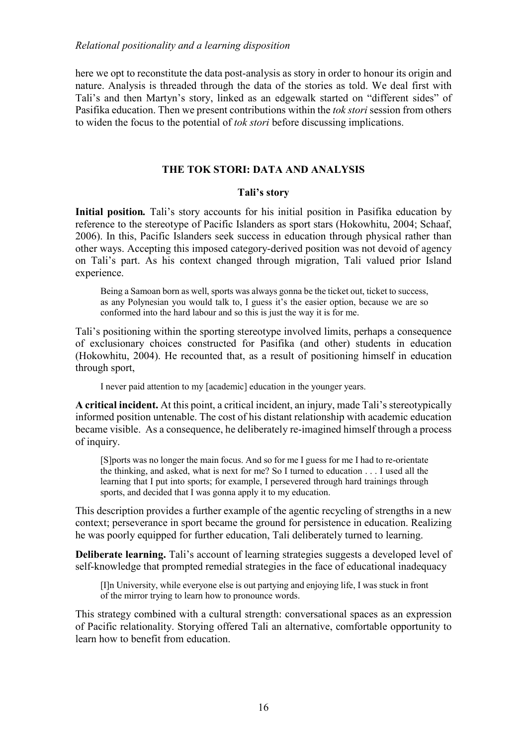here we opt to reconstitute the data post-analysis as story in order to honour its origin and nature. Analysis is threaded through the data of the stories as told. We deal first with Tali's and then Martyn's story, linked as an edgewalk started on "different sides" of Pasifika education. Then we present contributions within the *tok stori* session from others to widen the focus to the potential of *tok stori* before discussing implications.

## **THE TOK STORI: DATA AND ANALYSIS**

## **Tali's story**

**Initial position***.* Tali's story accounts for his initial position in Pasifika education by reference to the stereotype of Pacific Islanders as sport stars (Hokowhitu, 2004; Schaaf, 2006). In this, Pacific Islanders seek success in education through physical rather than other ways. Accepting this imposed category-derived position was not devoid of agency on Tali's part. As his context changed through migration, Tali valued prior Island experience.

Being a Samoan born as well, sports was always gonna be the ticket out, ticket to success, as any Polynesian you would talk to, I guess it's the easier option, because we are so conformed into the hard labour and so this is just the way it is for me.

Tali's positioning within the sporting stereotype involved limits, perhaps a consequence of exclusionary choices constructed for Pasifika (and other) students in education (Hokowhitu, 2004). He recounted that, as a result of positioning himself in education through sport,

I never paid attention to my [academic] education in the younger years.

**A critical incident.** At this point, a critical incident, an injury, made Tali's stereotypically informed position untenable. The cost of his distant relationship with academic education became visible. As a consequence, he deliberately re-imagined himself through a process of inquiry.

[S]ports was no longer the main focus. And so for me I guess for me I had to re-orientate the thinking, and asked, what is next for me? So I turned to education . . . I used all the learning that I put into sports; for example, I persevered through hard trainings through sports, and decided that I was gonna apply it to my education.

This description provides a further example of the agentic recycling of strengths in a new context; perseverance in sport became the ground for persistence in education. Realizing he was poorly equipped for further education, Tali deliberately turned to learning.

**Deliberate learning.** Tali's account of learning strategies suggests a developed level of self-knowledge that prompted remedial strategies in the face of educational inadequacy

[I]n University, while everyone else is out partying and enjoying life, I was stuck in front of the mirror trying to learn how to pronounce words.

This strategy combined with a cultural strength: conversational spaces as an expression of Pacific relationality. Storying offered Tali an alternative, comfortable opportunity to learn how to benefit from education.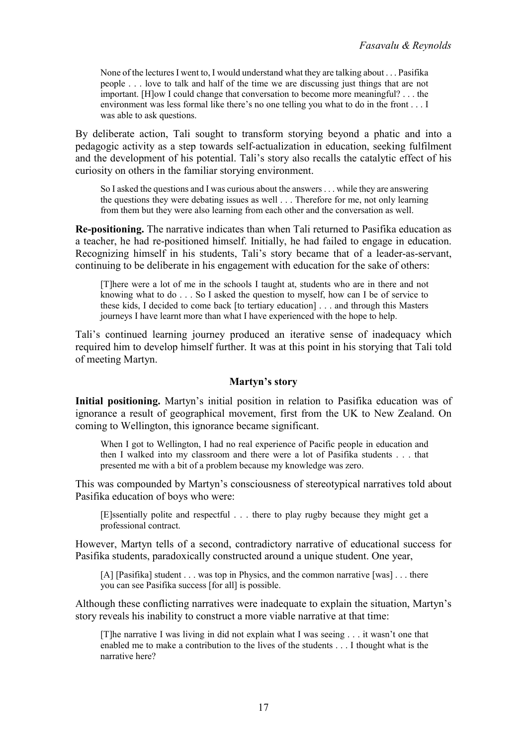None of the lectures I went to, I would understand what they are talking about . . . Pasifika people . . . love to talk and half of the time we are discussing just things that are not important. [H]ow I could change that conversation to become more meaningful? . . . the environment was less formal like there's no one telling you what to do in the front . . . I was able to ask questions.

By deliberate action, Tali sought to transform storying beyond a phatic and into a pedagogic activity as a step towards self-actualization in education, seeking fulfilment and the development of his potential. Tali's story also recalls the catalytic effect of his curiosity on others in the familiar storying environment.

So I asked the questions and I was curious about the answers . . . while they are answering the questions they were debating issues as well . . . Therefore for me, not only learning from them but they were also learning from each other and the conversation as well.

**Re-positioning.** The narrative indicates than when Tali returned to Pasifika education as a teacher, he had re-positioned himself. Initially, he had failed to engage in education. Recognizing himself in his students, Tali's story became that of a leader-as-servant, continuing to be deliberate in his engagement with education for the sake of others:

[T]here were a lot of me in the schools I taught at, students who are in there and not knowing what to do . . . So I asked the question to myself, how can I be of service to these kids, I decided to come back [to tertiary education] . . . and through this Masters journeys I have learnt more than what I have experienced with the hope to help.

Tali's continued learning journey produced an iterative sense of inadequacy which required him to develop himself further. It was at this point in his storying that Tali told of meeting Martyn.

#### **Martyn's story**

**Initial positioning.** Martyn's initial position in relation to Pasifika education was of ignorance a result of geographical movement, first from the UK to New Zealand. On coming to Wellington, this ignorance became significant.

When I got to Wellington, I had no real experience of Pacific people in education and then I walked into my classroom and there were a lot of Pasifika students . . . that presented me with a bit of a problem because my knowledge was zero.

This was compounded by Martyn's consciousness of stereotypical narratives told about Pasifika education of boys who were:

[E]ssentially polite and respectful . . . there to play rugby because they might get a professional contract.

However, Martyn tells of a second, contradictory narrative of educational success for Pasifika students, paradoxically constructed around a unique student. One year,

[A] [Pasifika] student . . . was top in Physics, and the common narrative [was] . . . there you can see Pasifika success [for all] is possible.

Although these conflicting narratives were inadequate to explain the situation, Martyn's story reveals his inability to construct a more viable narrative at that time:

[T]he narrative I was living in did not explain what I was seeing . . . it wasn't one that enabled me to make a contribution to the lives of the students . . . I thought what is the narrative here?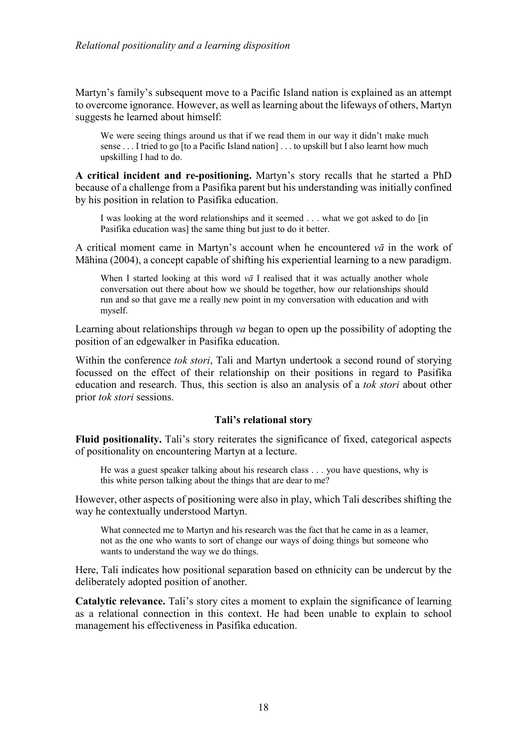Martyn's family's subsequent move to a Pacific Island nation is explained as an attempt to overcome ignorance. However, as well as learning about the lifeways of others, Martyn suggests he learned about himself:

We were seeing things around us that if we read them in our way it didn't make much sense . . . I tried to go [to a Pacific Island nation] . . . to upskill but I also learnt how much upskilling I had to do.

**A critical incident and re-positioning.** Martyn's story recalls that he started a PhD because of a challenge from a Pasifika parent but his understanding was initially confined by his position in relation to Pasifika education.

I was looking at the word relationships and it seemed . . . what we got asked to do [in Pasifika education was] the same thing but just to do it better.

A critical moment came in Martyn's account when he encountered *vā* in the work of Māhina (2004), a concept capable of shifting his experiential learning to a new paradigm.

When I started looking at this word  $v\bar{a}$  I realised that it was actually another whole conversation out there about how we should be together, how our relationships should run and so that gave me a really new point in my conversation with education and with myself.

Learning about relationships through *va* began to open up the possibility of adopting the position of an edgewalker in Pasifika education.

Within the conference *tok stori*, Tali and Martyn undertook a second round of storying focussed on the effect of their relationship on their positions in regard to Pasifika education and research. Thus, this section is also an analysis of a *tok stori* about other prior *tok stori* sessions.

#### **Tali's relational story**

**Fluid positionality.** Tali's story reiterates the significance of fixed, categorical aspects of positionality on encountering Martyn at a lecture.

He was a guest speaker talking about his research class . . . you have questions, why is this white person talking about the things that are dear to me?

However, other aspects of positioning were also in play, which Tali describes shifting the way he contextually understood Martyn.

What connected me to Martyn and his research was the fact that he came in as a learner, not as the one who wants to sort of change our ways of doing things but someone who wants to understand the way we do things.

Here, Tali indicates how positional separation based on ethnicity can be undercut by the deliberately adopted position of another.

**Catalytic relevance.** Tali's story cites a moment to explain the significance of learning as a relational connection in this context. He had been unable to explain to school management his effectiveness in Pasifika education.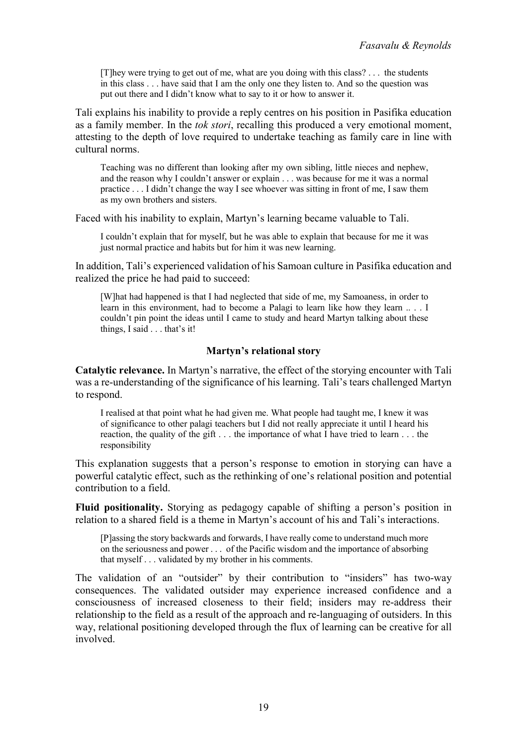[T]hey were trying to get out of me, what are you doing with this class? . . . the students in this class . . . have said that I am the only one they listen to. And so the question was put out there and I didn't know what to say to it or how to answer it.

Tali explains his inability to provide a reply centres on his position in Pasifika education as a family member. In the *tok stori*, recalling this produced a very emotional moment, attesting to the depth of love required to undertake teaching as family care in line with cultural norms.

Teaching was no different than looking after my own sibling, little nieces and nephew, and the reason why I couldn't answer or explain . . . was because for me it was a normal practice . . . I didn't change the way I see whoever was sitting in front of me, I saw them as my own brothers and sisters.

Faced with his inability to explain, Martyn's learning became valuable to Tali.

I couldn't explain that for myself, but he was able to explain that because for me it was just normal practice and habits but for him it was new learning.

In addition, Tali's experienced validation of his Samoan culture in Pasifika education and realized the price he had paid to succeed:

[W]hat had happened is that I had neglected that side of me, my Samoaness, in order to learn in this environment, had to become a Palagi to learn like how they learn .. . . I couldn't pin point the ideas until I came to study and heard Martyn talking about these things, I said . . . that's it!

## **Martyn's relational story**

**Catalytic relevance.** In Martyn's narrative, the effect of the storying encounter with Tali was a re-understanding of the significance of his learning. Tali's tears challenged Martyn to respond.

I realised at that point what he had given me. What people had taught me, I knew it was of significance to other palagi teachers but I did not really appreciate it until I heard his reaction, the quality of the gift . . . the importance of what I have tried to learn . . . the responsibility

This explanation suggests that a person's response to emotion in storying can have a powerful catalytic effect, such as the rethinking of one's relational position and potential contribution to a field.

**Fluid positionality.** Storying as pedagogy capable of shifting a person's position in relation to a shared field is a theme in Martyn's account of his and Tali's interactions.

[P]assing the story backwards and forwards, I have really come to understand much more on the seriousness and power . . . of the Pacific wisdom and the importance of absorbing that myself . . . validated by my brother in his comments.

The validation of an "outsider" by their contribution to "insiders" has two-way consequences. The validated outsider may experience increased confidence and a consciousness of increased closeness to their field; insiders may re-address their relationship to the field as a result of the approach and re-languaging of outsiders. In this way, relational positioning developed through the flux of learning can be creative for all involved.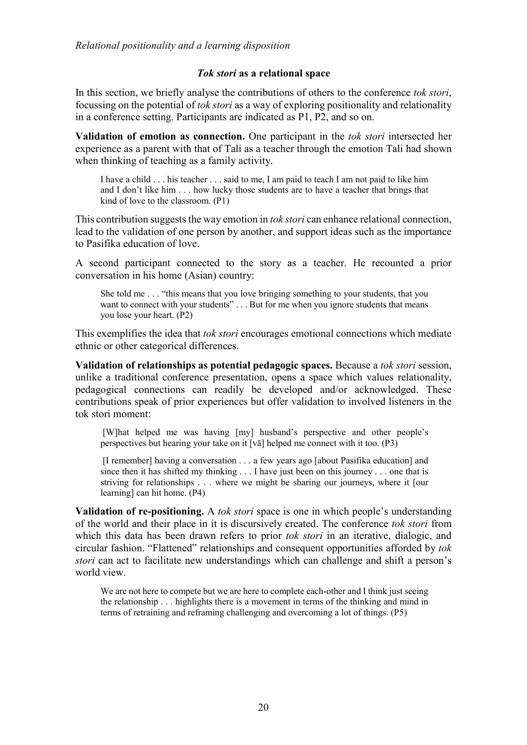#### *Tok stori* **as a relational space**

In this section, we briefly analyse the contributions of others to the conference *tok stori*, focussing on the potential of *tok stori* as a way of exploring positionality and relationality in a conference setting. Participants are indicated as P1, P2, and so on.

**Validation of emotion as connection.** One participant in the *tok stori* intersected her experience as a parent with that of Tali as a teacher through the emotion Tali had shown when thinking of teaching as a family activity.

I have a child . . . his teacher . . . said to me, I am paid to teach I am not paid to like him and I don't like him . . . how lucky those students are to have a teacher that brings that kind of love to the classroom. (P1)

This contribution suggests the way emotion in *tok stori* can enhance relational connection, lead to the validation of one person by another, and support ideas such as the importance to Pasifika education of love.

A second participant connected to the story as a teacher. He recounted a prior conversation in his home (Asian) country:

She told me . . . "this means that you love bringing something to your students, that you want to connect with your students" . . . But for me when you ignore students that means you lose your heart. (P2)

This exemplifies the idea that *tok stori* encourages emotional connections which mediate ethnic or other categorical differences.

**Validation of relationships as potential pedagogic spaces.** Because a *tok stori* session, unlike a traditional conference presentation, opens a space which values relationality, pedagogical connections can readily be developed and/or acknowledged. These contributions speak of prior experiences but offer validation to involved listeners in the tok stori moment:

[W]hat helped me was having [my] husband's perspective and other people's perspectives but hearing your take on it [vā] helped me connect with it too. (P3)

[I remember] having a conversation . . . a few years ago [about Pasifika education] and since then it has shifted my thinking . . . I have just been on this journey . . . one that is striving for relationships . . . where we might be sharing our journeys, where it [our learning] can hit home. (P4)

**Validation of re-positioning.** A *tok stori* space is one in which people's understanding of the world and their place in it is discursively created. The conference *tok stori* from which this data has been drawn refers to prior *tok stori* in an iterative, dialogic, and circular fashion. "Flattened" relationships and consequent opportunities afforded by *tok stori* can act to facilitate new understandings which can challenge and shift a person's world view.

We are not here to compete but we are here to complete each-other and I think just seeing the relationship . . . highlights there is a movement in terms of the thinking and mind in terms of retraining and reframing challenging and overcoming a lot of things. (P5)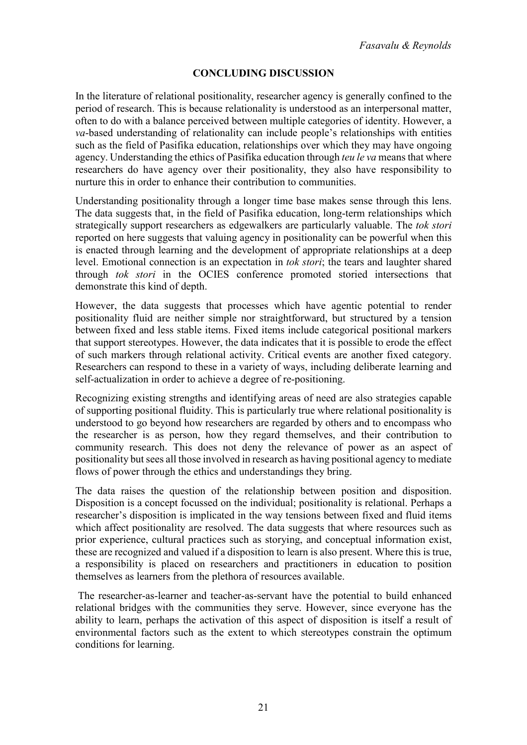# **CONCLUDING DISCUSSION**

In the literature of relational positionality, researcher agency is generally confined to the period of research. This is because relationality is understood as an interpersonal matter, often to do with a balance perceived between multiple categories of identity. However, a *va*-based understanding of relationality can include people's relationships with entities such as the field of Pasifika education, relationships over which they may have ongoing agency. Understanding the ethics of Pasifika education through *teu le va* means that where researchers do have agency over their positionality, they also have responsibility to nurture this in order to enhance their contribution to communities.

Understanding positionality through a longer time base makes sense through this lens. The data suggests that, in the field of Pasifika education, long-term relationships which strategically support researchers as edgewalkers are particularly valuable. The *tok stori* reported on here suggests that valuing agency in positionality can be powerful when this is enacted through learning and the development of appropriate relationships at a deep level. Emotional connection is an expectation in *tok stori*; the tears and laughter shared through *tok stori* in the OCIES conference promoted storied intersections that demonstrate this kind of depth.

However, the data suggests that processes which have agentic potential to render positionality fluid are neither simple nor straightforward, but structured by a tension between fixed and less stable items. Fixed items include categorical positional markers that support stereotypes. However, the data indicates that it is possible to erode the effect of such markers through relational activity. Critical events are another fixed category. Researchers can respond to these in a variety of ways, including deliberate learning and self-actualization in order to achieve a degree of re-positioning.

Recognizing existing strengths and identifying areas of need are also strategies capable of supporting positional fluidity. This is particularly true where relational positionality is understood to go beyond how researchers are regarded by others and to encompass who the researcher is as person, how they regard themselves, and their contribution to community research. This does not deny the relevance of power as an aspect of positionality but sees all those involved in research as having positional agency to mediate flows of power through the ethics and understandings they bring.

The data raises the question of the relationship between position and disposition. Disposition is a concept focussed on the individual; positionality is relational. Perhaps a researcher's disposition is implicated in the way tensions between fixed and fluid items which affect positionality are resolved. The data suggests that where resources such as prior experience, cultural practices such as storying, and conceptual information exist, these are recognized and valued if a disposition to learn is also present. Where this is true, a responsibility is placed on researchers and practitioners in education to position themselves as learners from the plethora of resources available.

The researcher-as-learner and teacher-as-servant have the potential to build enhanced relational bridges with the communities they serve. However, since everyone has the ability to learn, perhaps the activation of this aspect of disposition is itself a result of environmental factors such as the extent to which stereotypes constrain the optimum conditions for learning.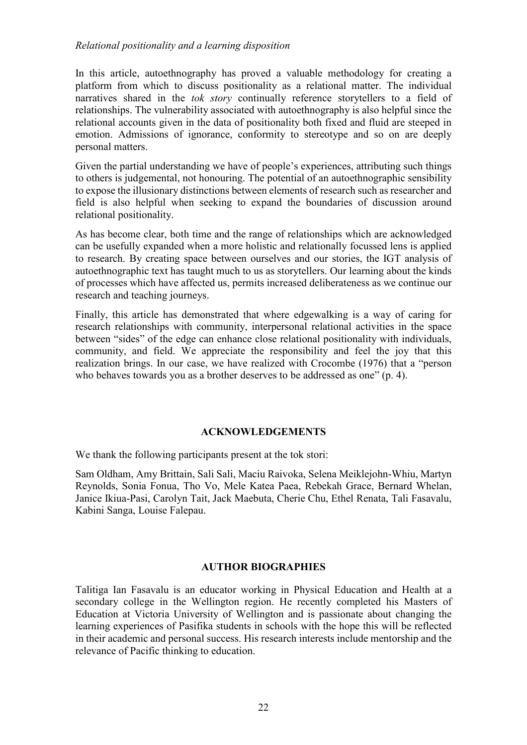In this article, autoethnography has proved a valuable methodology for creating a platform from which to discuss positionality as a relational matter. The individual narratives shared in the *tok story* continually reference storytellers to a field of relationships. The vulnerability associated with autoethnography is also helpful since the relational accounts given in the data of positionality both fixed and fluid are steeped in emotion. Admissions of ignorance, conformity to stereotype and so on are deeply personal matters.

Given the partial understanding we have of people's experiences, attributing such things to others is judgemental, not honouring. The potential of an autoethnographic sensibility to expose the illusionary distinctions between elements of research such as researcher and field is also helpful when seeking to expand the boundaries of discussion around relational positionality.

As has become clear, both time and the range of relationships which are acknowledged can be usefully expanded when a more holistic and relationally focussed lens is applied to research. By creating space between ourselves and our stories, the IGT analysis of autoethnographic text has taught much to us as storytellers. Our learning about the kinds of processes which have affected us, permits increased deliberateness as we continue our research and teaching journeys.

Finally, this article has demonstrated that where edgewalking is a way of caring for research relationships with community, interpersonal relational activities in the space between "sides" of the edge can enhance close relational positionality with individuals, community, and field. We appreciate the responsibility and feel the joy that this realization brings. In our case, we have realized with Crocombe (1976) that a "person who behaves towards you as a brother deserves to be addressed as one" (p. 4).

# **ACKNOWLEDGEMENTS**

We thank the following participants present at the tok stori:

Sam Oldham, Amy Brittain, Sali Sali, Maciu Raivoka, Selena Meiklejohn-Whiu, Martyn Reynolds, Sonia Fonua, Tho Vo, Mele Katea Paea, Rebekah Grace, Bernard Whelan, Janice Ikiua-Pasi, Carolyn Tait, Jack Maebuta, Cherie Chu, Ethel Renata, Tali Fasavalu, Kabini Sanga, Louise Falepau.

#### **AUTHOR BIOGRAPHIES**

Talitiga Ian Fasavalu is an educator working in Physical Education and Health at a secondary college in the Wellington region. He recently completed his Masters of Education at Victoria University of Wellington and is passionate about changing the learning experiences of Pasifika students in schools with the hope this will be reflected in their academic and personal success. His research interests include mentorship and the relevance of Pacific thinking to education.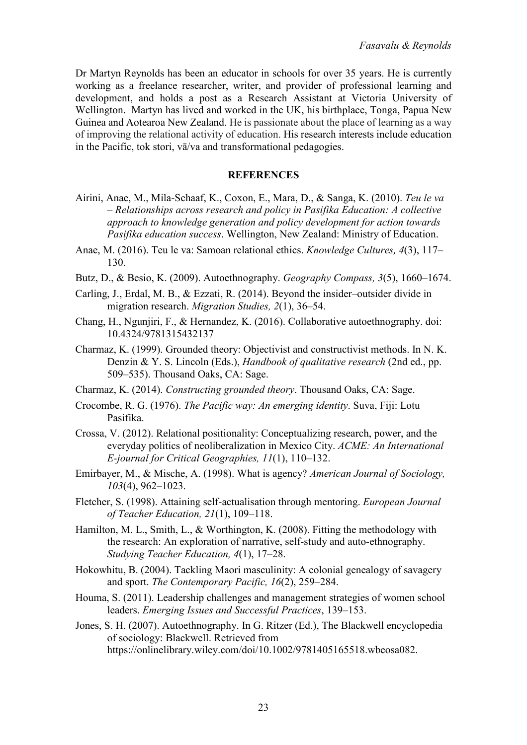Dr Martyn Reynolds has been an educator in schools for over 35 years. He is currently working as a freelance researcher, writer, and provider of professional learning and development, and holds a post as a Research Assistant at Victoria University of Wellington. Martyn has lived and worked in the UK, his birthplace, Tonga, Papua New Guinea and Aotearoa New Zealand. He is passionate about the place of learning as a way of improving the relational activity of education. His research interests include education in the Pacific, tok stori, vā/va and transformational pedagogies.

#### **REFERENCES**

- Airini, Anae, M., Mila-Schaaf, K., Coxon, E., Mara, D., & Sanga, K. (2010). *Teu le va – Relationships across research and policy in Pasifika Education: A collective approach to knowledge generation and policy development for action towards Pasifika education success*. Wellington, New Zealand: Ministry of Education.
- Anae, M. (2016). Teu le va: Samoan relational ethics. *Knowledge Cultures, 4*(3), 117– 130.
- Butz, D., & Besio, K. (2009). Autoethnography. *Geography Compass, 3*(5), 1660–1674.
- Carling, J., Erdal, M. B., & Ezzati, R. (2014). Beyond the insider–outsider divide in migration research. *Migration Studies, 2*(1), 36–54.
- Chang, H., Ngunjiri, F., & Hernandez, K. (2016). Collaborative autoethnography. doi: 10.4324/9781315432137
- Charmaz, K. (1999). Grounded theory: Objectivist and constructivist methods. In N. K. Denzin & Y. S. Lincoln (Eds.), *Handbook of qualitative research* (2nd ed., pp. 509–535). Thousand Oaks, CA: Sage.
- Charmaz, K. (2014). *Constructing grounded theory*. Thousand Oaks, CA: Sage.
- Crocombe, R. G. (1976). *The Pacific way: An emerging identity*. Suva, Fiji: Lotu Pasifika.
- Crossa, V. (2012). Relational positionality: Conceptualizing research, power, and the everyday politics of neoliberalization in Mexico City. *ACME: An International E-journal for Critical Geographies, 11*(1), 110–132.
- Emirbayer, M., & Mische, A. (1998). What is agency? *American Journal of Sociology, 103*(4), 962–1023.
- Fletcher, S. (1998). Attaining self-actualisation through mentoring. *European Journal of Teacher Education, 21*(1), 109–118.
- Hamilton, M. L., Smith, L., & Worthington, K. (2008). Fitting the methodology with the research: An exploration of narrative, self-study and auto-ethnography. *Studying Teacher Education, 4*(1), 17–28.
- Hokowhitu, B. (2004). Tackling Maori masculinity: A colonial genealogy of savagery and sport. *The Contemporary Pacific, 16*(2), 259–284.
- Houma, S. (2011). Leadership challenges and management strategies of women school leaders. *Emerging Issues and Successful Practices*, 139–153.
- Jones, S. H. (2007). Autoethnography. In G. Ritzer (Ed.), The Blackwell encyclopedia of sociology: Blackwell. Retrieved from https://onlinelibrary.wiley.com/doi/10.1002/9781405165518.wbeosa082.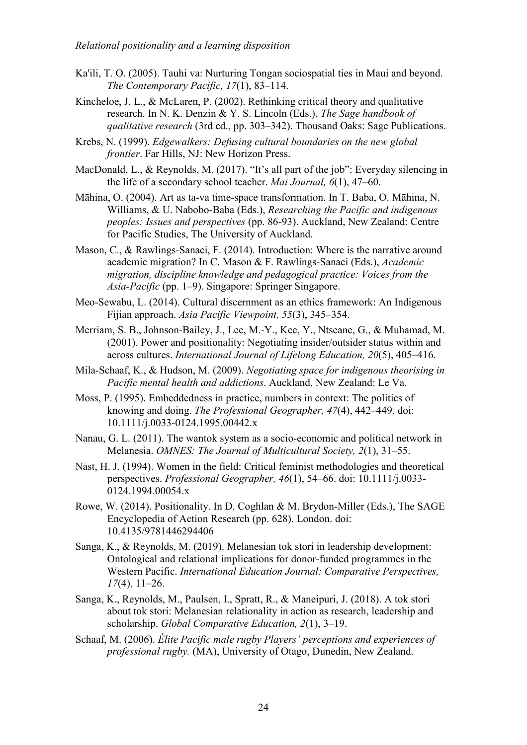- Ka'ili, T. O. (2005). Tauhi va: Nurturing Tongan sociospatial ties in Maui and beyond. *The Contemporary Pacific, 17*(1), 83–114.
- Kincheloe, J. L., & McLaren, P. (2002). Rethinking critical theory and qualitative research. In N. K. Denzin & Y. S. Lincoln (Eds.), *The Sage handbook of qualitative research* (3rd ed., pp. 303–342). Thousand Oaks: Sage Publications.
- Krebs, N. (1999). *Edgewalkers: Defusing cultural boundaries on the new global frontier*. Far Hills, NJ: New Horizon Press.
- MacDonald, L., & Reynolds, M. (2017). "It's all part of the job": Everyday silencing in the life of a secondary school teacher. *Mai Journal, 6*(1), 47–60.
- Māhina, O. (2004). Art as ta-va time-space transformation. In T. Baba, O. Māhina, N. Williams, & U. Nabobo-Baba (Eds.), *Researching the Pacific and indigenous peoples: Issues and perspectives* (pp. 86-93). Auckland, New Zealand: Centre for Pacific Studies, The University of Auckland.
- Mason, C., & Rawlings-Sanaei, F. (2014). Introduction: Where is the narrative around academic migration? In C. Mason & F. Rawlings-Sanaei (Eds.), *Academic migration, discipline knowledge and pedagogical practice: Voices from the Asia-Pacific* (pp. 1–9). Singapore: Springer Singapore.
- Meo-Sewabu, L. (2014). Cultural discernment as an ethics framework: An Indigenous Fijian approach. *Asia Pacific Viewpoint, 55*(3), 345–354.
- Merriam, S. B., Johnson-Bailey, J., Lee, M.-Y., Kee, Y., Ntseane, G., & Muhamad, M. (2001). Power and positionality: Negotiating insider/outsider status within and across cultures. *International Journal of Lifelong Education, 20*(5), 405–416.
- Mila-Schaaf, K., & Hudson, M. (2009). *Negotiating space for indigenous theorising in Pacific mental health and addictions*. Auckland, New Zealand: Le Va.
- Moss, P. (1995). Embeddedness in practice, numbers in context: The politics of knowing and doing. *The Professional Geographer, 47*(4), 442–449. doi: 10.1111/j.0033-0124.1995.00442.x
- Nanau, G. L. (2011). The wantok system as a socio-economic and political network in Melanesia. *OMNES: The Journal of Multicultural Society, 2*(1), 31–55.
- Nast, H. J. (1994). Women in the field: Critical feminist methodologies and theoretical perspectives. *Professional Geographer, 46*(1), 54–66. doi: 10.1111/j.0033- 0124.1994.00054.x
- Rowe, W. (2014). Positionality. In D. Coghlan & M. Brydon-Miller (Eds.), The SAGE Encyclopedia of Action Research (pp. 628). London. doi: 10.4135/9781446294406
- Sanga, K., & Reynolds, M. (2019). Melanesian tok stori in leadership development: Ontological and relational implications for donor-funded programmes in the Western Pacific. *International Education Journal: Comparative Perspectives, 17*(4), 11–26.
- Sanga, K., Reynolds, M., Paulsen, I., Spratt, R., & Maneipuri, J. (2018). A tok stori about tok stori: Melanesian relationality in action as research, leadership and scholarship. *Global Comparative Education, 2*(1), 3–19.
- Schaaf, M. (2006). *Élite Pacific male rugby Players' perceptions and experiences of professional rugby.* (MA), University of Otago, Dunedin, New Zealand.